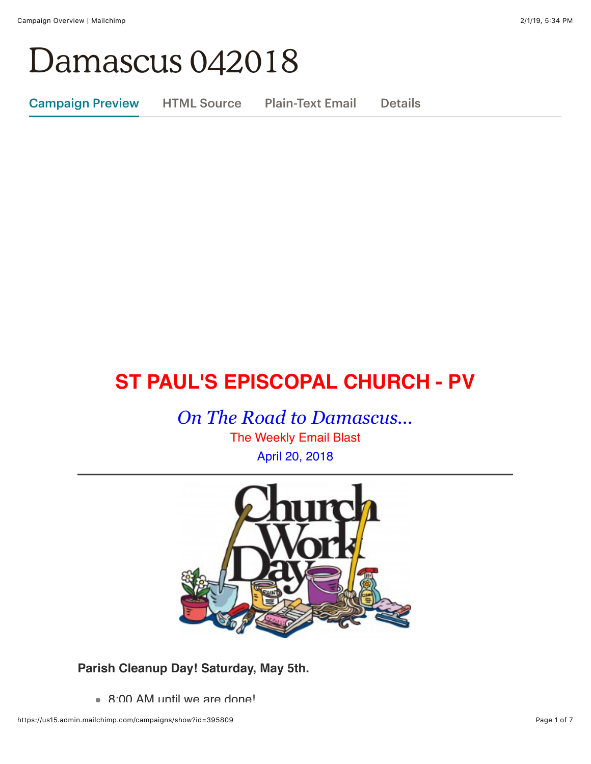## Damascus 042018

Campaign Preview HTML Source Plain-Text Email Details

### **ST PAUL'S EPISCOPAL CHURCH - PV**

*On The Road to Damascus...*

The Weekly Email Blast April 20, 2018



**Parish Cleanup Day! Saturday, May 5th.**

8:00 AM until we are done!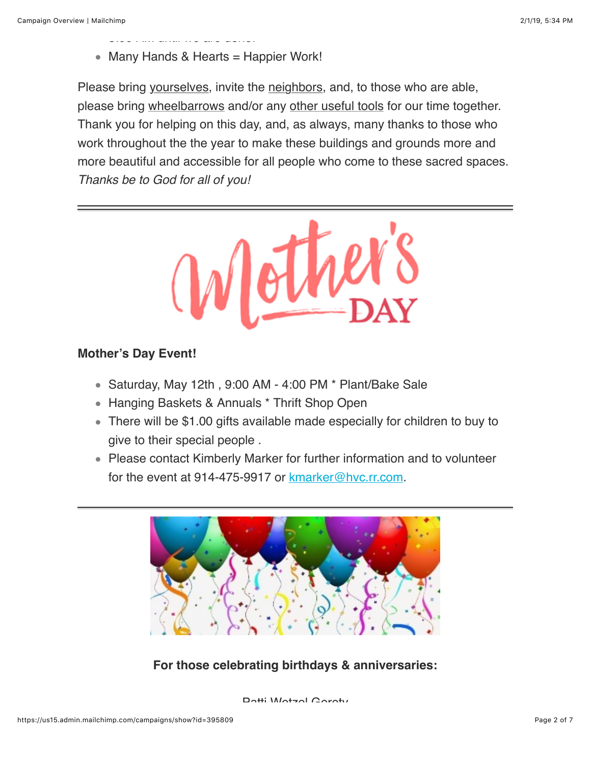$8:0.000$  and  $8:0.0000$  are done.

• Many Hands & Hearts = Happier Work!

Please bring yourselves, invite the neighbors, and, to those who are able, please bring wheelbarrows and/or any other useful tools for our time together. Thank you for helping on this day, and, as always, many thanks to those who work throughout the the year to make these buildings and grounds more and more beautiful and accessible for all people who come to these sacred spaces. *Thanks be to God for all of you!*



#### **Mother's Day Event!**

- Saturday, May 12th, 9:00 AM 4:00 PM \* Plant/Bake Sale
- Hanging Baskets & Annuals \* Thrift Shop Open
- There will be \$1.00 gifts available made especially for children to buy to give to their special people .
- Please contact Kimberly Marker for further information and to volunteer for the event at 914-475-9917 or [kmarker@hvc.rr.com.](mailto:kmarker@hvc.hvc.rr.com)



#### **For those celebrating birthdays & anniversaries:**

Dotti *Motan* Coroty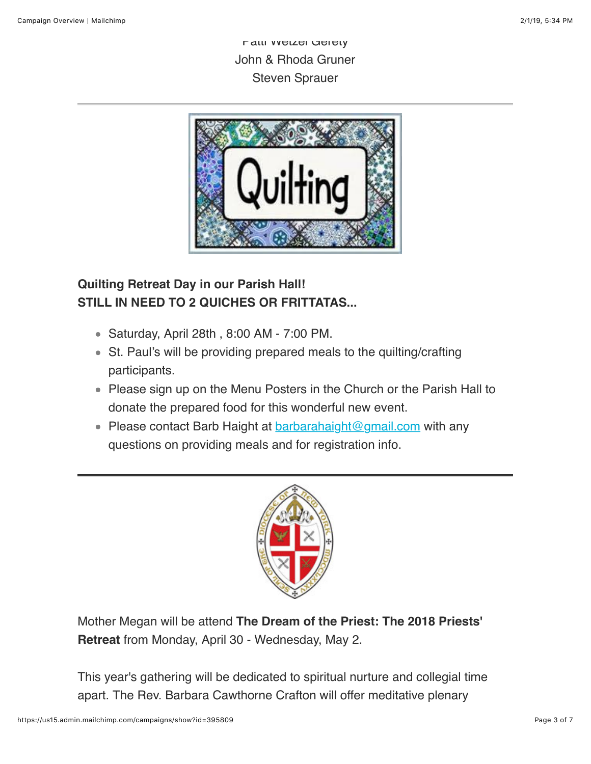Patti Wetzel Gerety John & Rhoda Gruner Steven Sprauer



#### **Quilting Retreat Day in our Parish Hall! STILL IN NEED TO 2 QUICHES OR FRITTATAS...**

- Saturday, April 28th , 8:00 AM 7:00 PM.
- St. Paul's will be providing prepared meals to the quilting/crafting participants.
- Please sign up on the Menu Posters in the Church or the Parish Hall to donate the prepared food for this wonderful new event.
- Please contact Barb Haight at  $barahaight@gmail.com$  with any questions on providing meals and for registration info.



Mother Megan will be attend **The Dream of the Priest: The 2018 Priests' Retreat** from Monday, April 30 - Wednesday, May 2.

This year's gathering will be dedicated to spiritual nurture and collegial time apart. The Rev. Barbara Cawthorne Crafton will offer meditative plenary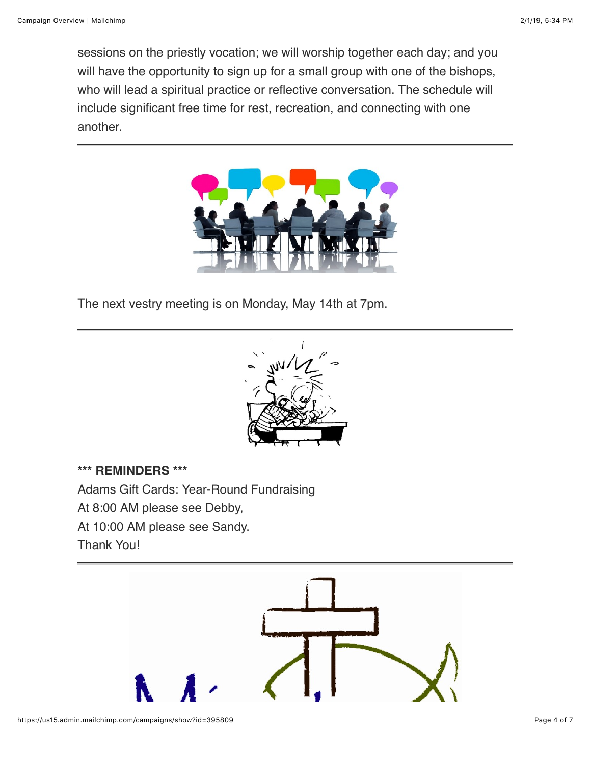sessions on the priestly vocation; we will worship together each day; and you will have the opportunity to sign up for a small group with one of the bishops, who will lead a spiritual practice or reflective conversation. The schedule will include significant free time for rest, recreation, and connecting with one another.



The next vestry meeting is on Monday, May 14th at 7pm.



**\*\*\* REMINDERS \*\*\*** Adams Gift Cards: Year-Round Fundraising At 8:00 AM please see Debby, At 10:00 AM please see Sandy. Thank You!

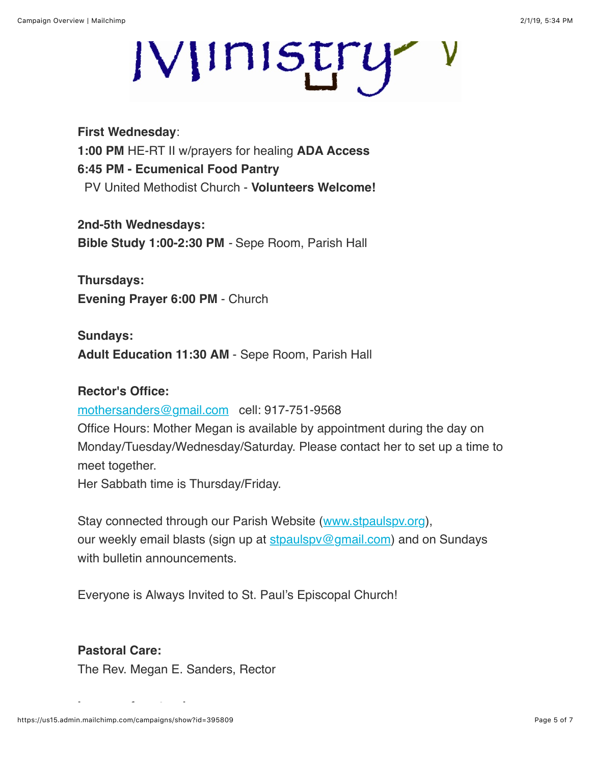# IVIINISTry V

**First Wednesday**: **1:00 PM** HE-RT II w/prayers for healing **ADA Access 6:45 PM - Ecumenical Food Pantry** PV United Methodist Church - **Volunteers Welcome!**

**2nd-5th Wednesdays: Bible Study 1:00-2:30 PM** *-* Sepe Room, Parish Hall

**Thursdays: Evening Prayer 6:00 PM** - Church

**Sundays: Adult Education 11:30 AM** - Sepe Room, Parish Hall

#### **Rector's Office:**

[mothersanders@gmail.com](mailto:mothersanders@gmail.com) cell: 917-751-9568

Office Hours: Mother Megan is available by appointment during the day on Monday/Tuesday/Wednesday/Saturday. Please contact her to set up a time to meet together.

Her Sabbath time is Thursday/Friday.

Stay connected through our Parish Website ([www.stpaulspv.org\)](http://www.stpaulspv.org/), our weekly email blasts (sign up at stpaulspy@gmail.com) and on Sundays with bulletin announcements.

Everyone is Always Invited to St. Paul's Episcopal Church!

#### **Pastoral Care:**

The Rev. Megan E. Sanders, Rector

**In case of pastoral emergency:**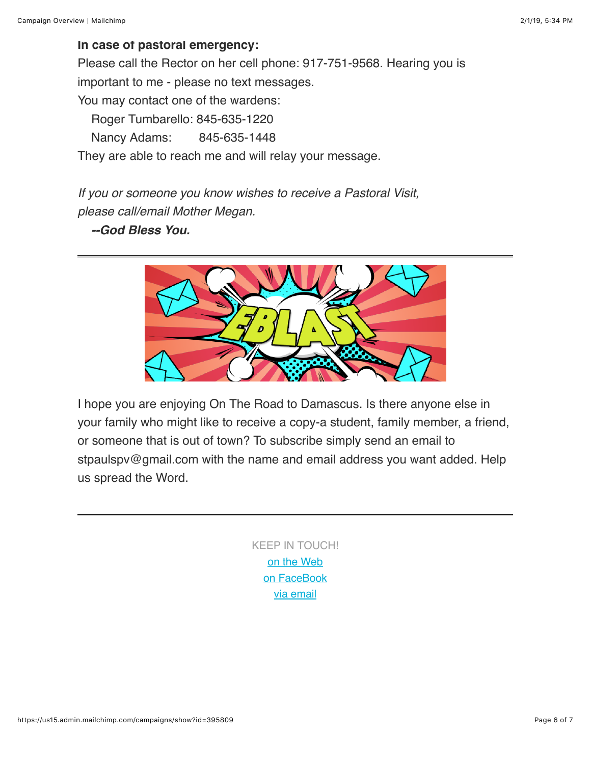#### **In case of pastoral emergency:**

Please call the Rector on her cell phone: 917-751-9568. Hearing you is important to me - please no text messages.

You may contact one of the wardens:

Roger Tumbarello: 845-635-1220

Nancy Adams: 845-635-1448

They are able to reach me and will relay your message.

*If you or someone you know wishes to receive a Pastoral Visit, please call/email Mother Megan.*

 *--God Bless You.*



I hope you are enjoying On The Road to Damascus. Is there anyone else in your family who might like to receive a copy-a student, family member, a friend, or someone that is out of town? To subscribe simply send an email to stpaulspv@gmail.com with the name and email address you want added. Help us spread the Word.

> KEEP IN TOUCH! [o](http://stpaulspv.org/)[n the Web](http://www.stpaulspv.org/) [on FaceBook](https://www.facebook.com/stpaulspleasantvalley/) [via email](mailto:stpaulspv@gmail)